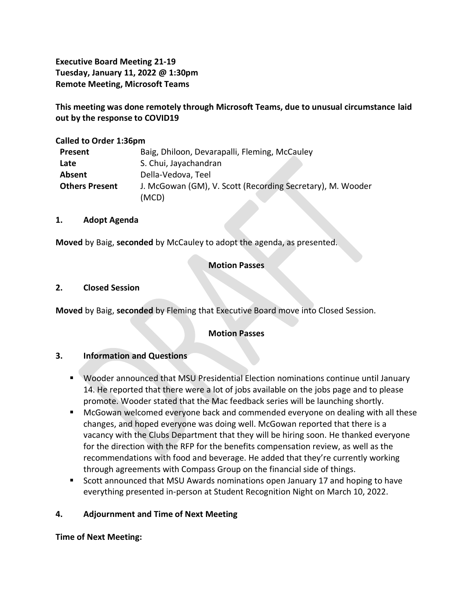**Executive Board Meeting 21-19 Tuesday, January 11, 2022 @ 1:30pm Remote Meeting, Microsoft Teams**

**This meeting was done remotely through Microsoft Teams, due to unusual circumstance laid out by the response to COVID19**

### **Called to Order 1:36pm**

| Present               | Baig, Dhiloon, Devarapalli, Fleming, McCauley              |
|-----------------------|------------------------------------------------------------|
| Late                  | S. Chui, Jayachandran                                      |
| Absent                | Della-Vedova, Teel                                         |
| <b>Others Present</b> | J. McGowan (GM), V. Scott (Recording Secretary), M. Wooder |
|                       | (MCD)                                                      |

#### **1. Adopt Agenda**

**Moved** by Baig, **seconded** by McCauley to adopt the agenda, as presented.

## **Motion Passes**

#### **2. Closed Session**

**Moved** by Baig, **seconded** by Fleming that Executive Board move into Closed Session.

#### **Motion Passes**

#### **3. Information and Questions**

- Wooder announced that MSU Presidential Election nominations continue until January 14. He reported that there were a lot of jobs available on the jobs page and to please promote. Wooder stated that the Mac feedback series will be launching shortly.
- McGowan welcomed everyone back and commended everyone on dealing with all these changes, and hoped everyone was doing well. McGowan reported that there is a vacancy with the Clubs Department that they will be hiring soon. He thanked everyone for the direction with the RFP for the benefits compensation review, as well as the recommendations with food and beverage. He added that they're currently working through agreements with Compass Group on the financial side of things.
- Scott announced that MSU Awards nominations open January 17 and hoping to have everything presented in-person at Student Recognition Night on March 10, 2022.

### **4. Adjournment and Time of Next Meeting**

**Time of Next Meeting:**